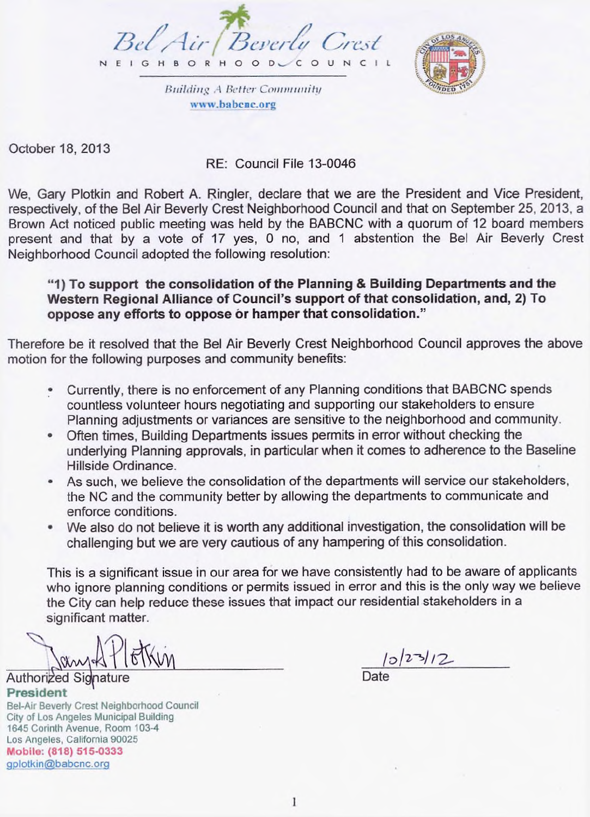



*Hiiiliiiih'* **.1** *Better Coiniinmiti/* **[www.ba](http://www.ba)bcnc.org**

October 18, 2013

## RE: Council File 13-0046

We, Gary Plotkin and Robert A. Ringler, declare that we are the President and Vice President, respectively, of the Bel Air Beverly Crest Neighborhood Council and that on September 25, 2013, a Brown Act noticed public meeting was held by the BABCNC with a quorum of 12 board members present and that by a vote of 17 yes, 0 no, and <sup>1</sup> abstention the Bel Air Beverly Crest Neighborhood Council adopted the following resolution:

**"1) To support the consolidation of the Planning & Building Departments and the Western Regional Alliance of Council's support of that consolidation, and, 2) To oppose any efforts to oppose or hamper that consolidation."**

Therefore be it resolved that the Bel Air Beverly Crest Neighborhood Council approves the above motion for the following purposes and community benefits:

- Currently, there is no enforcement of any Planning conditions that BABCNC spends countless volunteer hours negotiating and supporting our stakeholders to ensure Planning adjustments or variances are sensitive to the neighborhood and community.
- Often times, Building Departments issues permits in error without checking the underlying Planning approvals, in particular when it comes to adherence to the Baseline Hillside Ordinance.
- As such, we believe the consolidation of the departments will service our stakeholders, the NC and the community better by allowing the departments to communicate and enforce conditions.
- We also do not believe it is worth any additional investigation, the consolidation will be challenging but we are very cautious of any hampering of this consolidation.

This is a significant issue in our area for we have consistently had to be aware of applicants who ignore planning conditions or permits issued in error and this is the only way we believe the City can help reduce these issues that impact our residential stakeholders in a significant matter.

Authorized Signatur **President** 

Bel-Air Beverly Crest Neighborhood Council City of Los Angeles Municipal Building 1645 Corinth Avenue, Room 103-4 Los Angeles, California 90025 **Mobile: (818) 515-0333** QPlotkin@babcnc.org

 $|0|23|12$